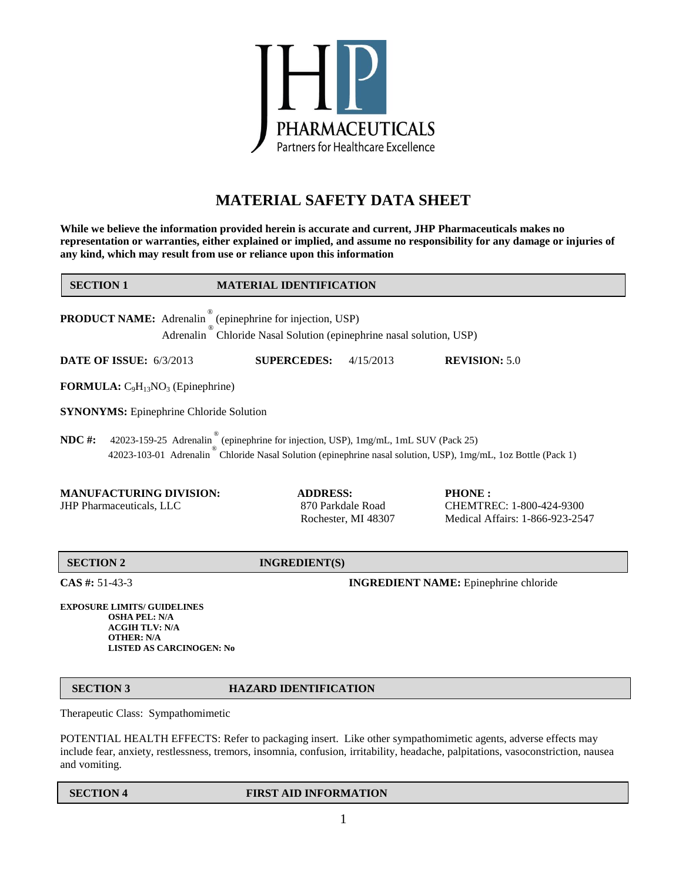

# **MATERIAL SAFETY DATA SHEET**

**While we believe the information provided herein is accurate and current, JHP Pharmaceuticals makes no representation or warranties, either explained or implied, and assume no responsibility for any damage or injuries of any kind, which may result from use or reliance upon this information**

| <b>SECTION 1</b>                                                                                                                                                                                                | <b>MATERIAL IDENTIFICATION</b>                                                   |                                                                              |
|-----------------------------------------------------------------------------------------------------------------------------------------------------------------------------------------------------------------|----------------------------------------------------------------------------------|------------------------------------------------------------------------------|
| <b>PRODUCT NAME:</b> Adrenalin (epinephrine for injection, USP)                                                                                                                                                 | Adrenalin <sup>®</sup> Chloride Nasal Solution (epinephrine nasal solution, USP) |                                                                              |
| <b>DATE OF ISSUE: 6/3/2013</b>                                                                                                                                                                                  | <b>SUPERCEDES:</b><br>4/15/2013                                                  | <b>REVISION: 5.0</b>                                                         |
| <b>FORMULA:</b> $C_9H_{13}NO_3$ (Epinephrine)                                                                                                                                                                   |                                                                                  |                                                                              |
| <b>SYNONYMS:</b> Epinephrine Chloride Solution                                                                                                                                                                  |                                                                                  |                                                                              |
| $NDC$ #:<br>42023-159-25 Adrenalin (epinephrine for injection, USP), 1mg/mL, 1mL SUV (Pack 25)<br>42023-103-01 Adrenalin Chloride Nasal Solution (epinephrine nasal solution, USP), 1mg/mL, 1oz Bottle (Pack 1) |                                                                                  |                                                                              |
| <b>MANUFACTURING DIVISION:</b><br><b>JHP Pharmaceuticals, LLC</b>                                                                                                                                               | <b>ADDRESS:</b><br>870 Parkdale Road<br>Rochester, MI 48307                      | <b>PHONE:</b><br>CHEMTREC: 1-800-424-9300<br>Medical Affairs: 1-866-923-2547 |
| <b>SECTION 2</b>                                                                                                                                                                                                | <b>INGREDIENT(S)</b>                                                             |                                                                              |
| $CAS$ #: 51-43-3                                                                                                                                                                                                | <b>INGREDIENT NAME:</b> Epinephrine chloride                                     |                                                                              |
| <b>EXPOSURE LIMITS/ GUIDELINES</b>                                                                                                                                                                              |                                                                                  |                                                                              |

**OSHA PEL: N/A ACGIH TLV: N/A OTHER: N/A LISTED AS CARCINOGEN: No**

# **SECTION 3 HAZARD IDENTIFICATION**

Therapeutic Class: Sympathomimetic

POTENTIAL HEALTH EFFECTS: Refer to packaging insert. Like other sympathomimetic agents, adverse effects may include fear, anxiety, restlessness, tremors, insomnia, confusion, irritability, headache, palpitations, vasoconstriction, nausea and vomiting.

### **SECTION 4** FIRST AID INFORMATION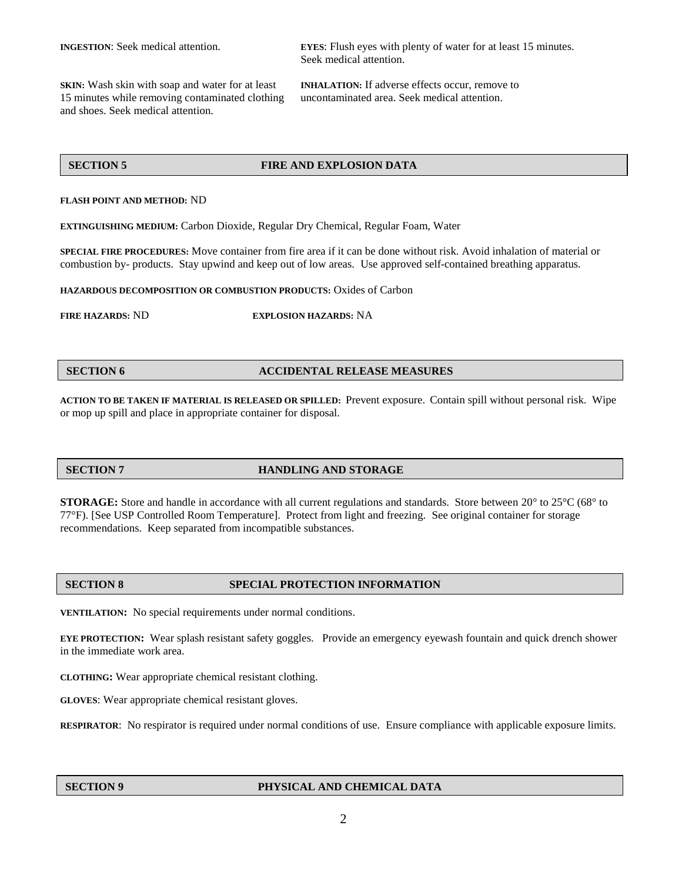**SKIN:** Wash skin with soap and water for at least **INHALATION:** If adverse effects occur, remove to 15 minutes while removing contaminated clothing uncontaminated area. Seek medical attention. and shoes. Seek medical attention.

**INGESTION**: Seek medical attention. **EYES**: Flush eyes with plenty of water for at least 15 minutes. Seek medical attention.

### **SECTION 5 FIRE AND EXPLOSION DATA**

### **FLASH POINT AND METHOD:** ND

**EXTINGUISHING MEDIUM:** Carbon Dioxide, Regular Dry Chemical, Regular Foam, Water

**SPECIAL FIRE PROCEDURES:** Move container from fire area if it can be done without risk. Avoid inhalation of material or combustion by- products. Stay upwind and keep out of low areas. Use approved self-contained breathing apparatus.

**HAZARDOUS DECOMPOSITION OR COMBUSTION PRODUCTS:** Oxides of Carbon

**FIRE HAZARDS:** ND **EXPLOSION HAZARDS:** NA

### **SECTION 6 ACCIDENTAL RELEASE MEASURES**

**ACTION TO BE TAKEN IF MATERIAL IS RELEASED OR SPILLED:** Prevent exposure. Contain spill without personal risk. Wipe or mop up spill and place in appropriate container for disposal.

### **SECTION 7 HANDLING AND STORAGE**

**STORAGE:** Store and handle in accordance with all current regulations and standards. Store between 20° to 25°C (68° to 77°F). [See USP Controlled Room Temperature]. Protect from light and freezing. See original container for storage recommendations. Keep separated from incompatible substances.

# **SECTION 8 SPECIAL PROTECTION INFORMATION**

**VENTILATION:** No special requirements under normal conditions.

**EYE PROTECTION:** Wear splash resistant safety goggles. Provide an emergency eyewash fountain and quick drench shower in the immediate work area.

**CLOTHING:** Wear appropriate chemical resistant clothing.

**GLOVES**: Wear appropriate chemical resistant gloves.

**RESPIRATOR**: No respirator is required under normal conditions of use. Ensure compliance with applicable exposure limits.

# **SECTION 9 PHYSICAL AND CHEMICAL DATA**